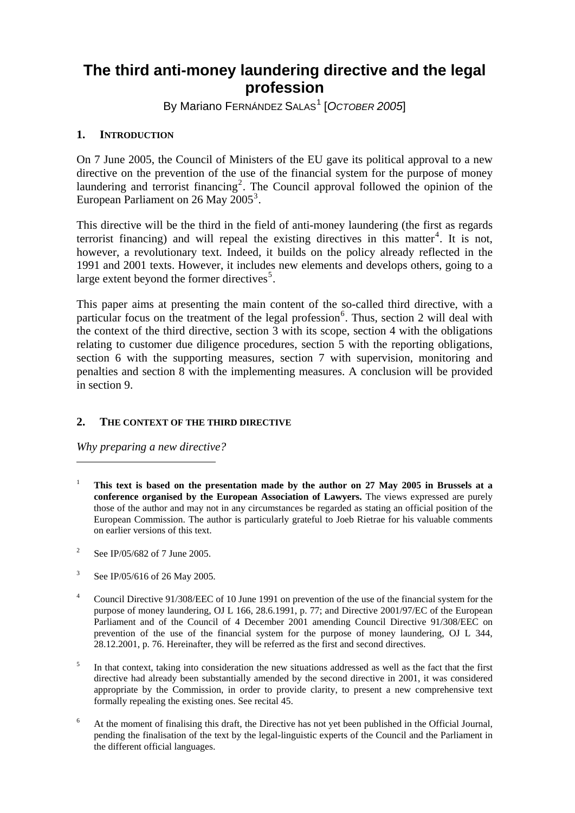# **The third anti-money laundering directive and the legal profession**

By Mariano FERNÁNDEZ SALAS<sup>[1](#page-0-0)</sup> [OCTOBER 2005]

## **1. INTRODUCTION**

On 7 June 2005, the Council of Ministers of the EU gave its political approval to a new directive on the prevention of the use of the financial system for the purpose of money laundering and terrorist financing<sup>[2](#page-0-1)</sup>. The Council approval followed the opinion of the European Parliament on 26 May  $2005^3$  $2005^3$ .

This directive will be the third in the field of anti-money laundering (the first as regards terrorist financing) and will repeal the existing directives in this matter<sup>[4](#page-0-3)</sup>. It is not, however, a revolutionary text. Indeed, it builds on the policy already reflected in the 1991 and 2001 texts. However, it includes new elements and develops others, going to a large extent beyond the former directives<sup>[5](#page-0-4)</sup>.

This paper aims at presenting the main content of the so-called third directive, with a particular focus on the treatment of the legal profession<sup>[6](#page-0-5)</sup>. Thus, section 2 will deal with the context of the third directive, section 3 with its scope, section 4 with the obligations relating to customer due diligence procedures, section 5 with the reporting obligations, section 6 with the supporting measures, section 7 with supervision, monitoring and penalties and section 8 with the implementing measures. A conclusion will be provided in section 9.

## **2. THE CONTEXT OF THE THIRD DIRECTIVE**

*Why preparing a new directive?* 

- <span id="page-0-0"></span>1 **This text is based on the presentation made by the author on 27 May 2005 in Brussels at a conference organised by the European Association of Lawyers.** The views expressed are purely those of the author and may not in any circumstances be regarded as stating an official position of the European Commission. The author is particularly grateful to Joeb Rietrae for his valuable comments on earlier versions of this text.
- <span id="page-0-1"></span>2 See IP/05/682 of 7 June 2005.
- <span id="page-0-2"></span>3 See IP/05/616 of 26 May 2005.
- <span id="page-0-3"></span>4 Council Directive 91/308/EEC of 10 June 1991 on prevention of the use of the financial system for the purpose of money laundering, OJ L 166, 28.6.1991, p. 77; and Directive 2001/97/EC of the European Parliament and of the Council of 4 December 2001 amending Council Directive 91/308/EEC on prevention of the use of the financial system for the purpose of money laundering, OJ L 344, 28.12.2001, p. 76. Hereinafter, they will be referred as the first and second directives.
- <span id="page-0-4"></span>5 In that context, taking into consideration the new situations addressed as well as the fact that the first directive had already been substantially amended by the second directive in 2001, it was considered appropriate by the Commission, in order to provide clarity, to present a new comprehensive text formally repealing the existing ones. See recital 45.
- <span id="page-0-5"></span>6 At the moment of finalising this draft, the Directive has not yet been published in the Official Journal, pending the finalisation of the text by the legal-linguistic experts of the Council and the Parliament in the different official languages.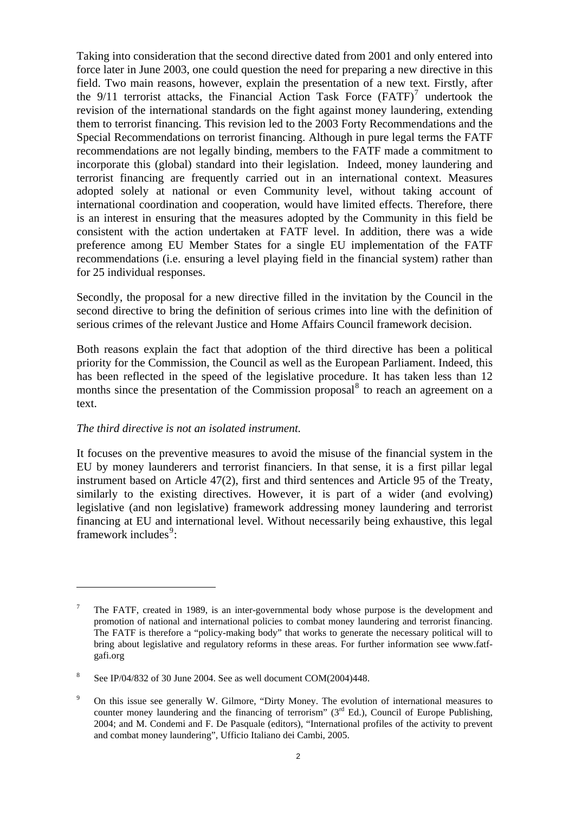Taking into consideration that the second directive dated from 2001 and only entered into force later in June 2003, one could question the need for preparing a new directive in this field. Two main reasons, however, explain the presentation of a new text. Firstly, after the  $9/11$  terrorist attacks, the Financial Action Task Force  $(FATF)^7$  $(FATF)^7$  undertook the revision of the international standards on the fight against money laundering, extending them to terrorist financing. This revision led to the 2003 Forty Recommendations and the Special Recommendations on terrorist financing. Although in pure legal terms the FATF recommendations are not legally binding, members to the FATF made a commitment to incorporate this (global) standard into their legislation. Indeed, money laundering and terrorist financing are frequently carried out in an international context. Measures adopted solely at national or even Community level, without taking account of international coordination and cooperation, would have limited effects. Therefore, there is an interest in ensuring that the measures adopted by the Community in this field be consistent with the action undertaken at FATF level. In addition, there was a wide preference among EU Member States for a single EU implementation of the FATF recommendations (i.e. ensuring a level playing field in the financial system) rather than for 25 individual responses.

Secondly, the proposal for a new directive filled in the invitation by the Council in the second directive to bring the definition of serious crimes into line with the definition of serious crimes of the relevant Justice and Home Affairs Council framework decision.

Both reasons explain the fact that adoption of the third directive has been a political priority for the Commission, the Council as well as the European Parliament. Indeed, this has been reflected in the speed of the legislative procedure. It has taken less than 12 months since the presentation of the Commission proposal $\delta$  to reach an agreement on a text.

#### *The third directive is not an isolated instrument.*

 $\overline{a}$ 

It focuses on the preventive measures to avoid the misuse of the financial system in the EU by money launderers and terrorist financiers. In that sense, it is a first pillar legal instrument based on Article 47(2), first and third sentences and Article 95 of the Treaty, similarly to the existing directives. However, it is part of a wider (and evolving) legislative (and non legislative) framework addressing money laundering and terrorist financing at EU and international level. Without necessarily being exhaustive, this legal framework includes<sup>[9](#page-1-2)</sup>:

<span id="page-1-0"></span><sup>7</sup> The FATF, created in 1989, is an inter-governmental body whose purpose is the development and promotion of national and international policies to combat money laundering and terrorist financing. The FATF is therefore a "policy-making body" that works to generate the necessary political will to bring about legislative and regulatory reforms in these areas. For further information see www.fatfgafi.org

<span id="page-1-1"></span><sup>8</sup> See IP/04/832 of 30 June 2004. See as well document COM(2004)448.

<span id="page-1-2"></span><sup>9</sup> On this issue see generally W. Gilmore, "Dirty Money. The evolution of international measures to counter money laundering and the financing of terrorism"  $(3<sup>rd</sup> Ed.)$ , Council of Europe Publishing, 2004; and M. Condemi and F. De Pasquale (editors), "International profiles of the activity to prevent and combat money laundering", Ufficio Italiano dei Cambi, 2005.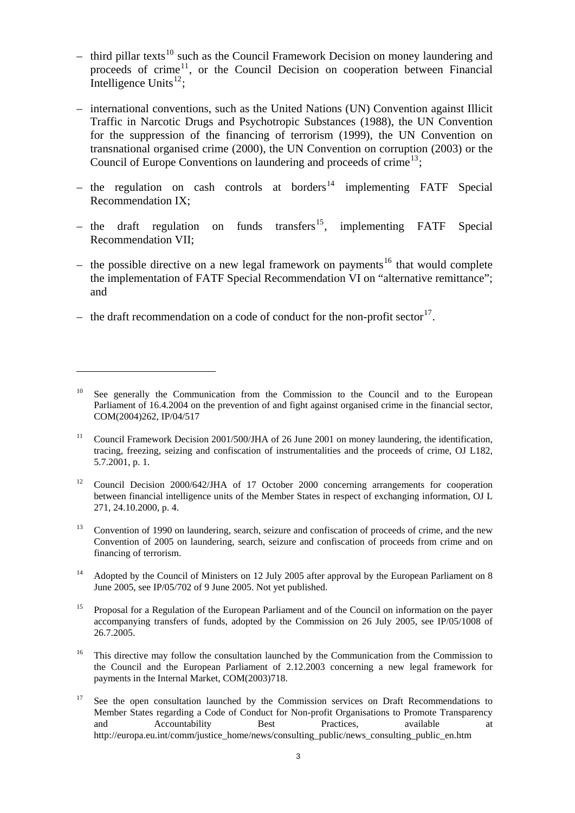- third pillar texts<sup>[10](#page-2-0)</sup> such as the Council Framework Decision on money laundering and proceeds of crime<sup>[11](#page-2-1)</sup>, or the Council Decision on cooperation between Financial Intelligence Units $^{12}$  $^{12}$  $^{12}$ ;
- international conventions, such as the United Nations (UN) Convention against Illicit Traffic in Narcotic Drugs and Psychotropic Substances (1988), the UN Convention for the suppression of the financing of terrorism (1999), the UN Convention on transnational organised crime (2000), the UN Convention on corruption (2003) or the Council of Europe Conventions on laundering and proceeds of crime<sup>[13](#page-2-3)</sup>;
- the regulation on cash controls at borders<sup>[14](#page-2-4)</sup> implementing FATF Special Recommendation IX;
- the draft regulation on funds transfers<sup>[15](#page-2-5)</sup>, implementing FATF Special Recommendation VII;
- the possible directive on a new legal framework on payments<sup>[16](#page-2-6)</sup> that would complete the implementation of FATF Special Recommendation VI on "alternative remittance"; and
- the draft recommendation on a code of conduct for the non-profit sector<sup>[17](#page-2-7)</sup>.

- <span id="page-2-2"></span><sup>12</sup> Council Decision 2000/642/JHA of 17 October 2000 concerning arrangements for cooperation between financial intelligence units of the Member States in respect of exchanging information, OJ L 271, 24.10.2000, p. 4.
- <span id="page-2-3"></span><sup>13</sup> Convention of 1990 on laundering, search, seizure and confiscation of proceeds of crime, and the new Convention of 2005 on laundering, search, seizure and confiscation of proceeds from crime and on financing of terrorism.
- <span id="page-2-4"></span><sup>14</sup> Adopted by the Council of Ministers on 12 July 2005 after approval by the European Parliament on 8 June 2005, see IP/05/702 of 9 June 2005. Not yet published.
- <span id="page-2-5"></span><sup>15</sup> Proposal for a Regulation of the European Parliament and of the Council on information on the payer accompanying transfers of funds, adopted by the Commission on 26 July 2005, see IP/05/1008 of 26.7.2005.
- <span id="page-2-6"></span><sup>16</sup> This directive may follow the consultation launched by the Communication from the Commission to the Council and the European Parliament of 2.12.2003 concerning a new legal framework for payments in the Internal Market, COM(2003)718.
- <span id="page-2-7"></span><sup>17</sup> See the open consultation launched by the Commission services on Draft Recommendations to Member States regarding a Code of Conduct for Non-profit Organisations to Promote Transparency and Accountability Best Practices, available at http://europa.eu.int/comm/justice\_home/news/consulting\_public/news\_consulting\_public\_en.htm

<span id="page-2-0"></span><sup>&</sup>lt;sup>10</sup> See generally the Communication from the Commission to the Council and to the European Parliament of 16.4.2004 on the prevention of and fight against organised crime in the financial sector, COM(2004)262, IP/04/517

<span id="page-2-1"></span><sup>&</sup>lt;sup>11</sup> Council Framework Decision 2001/500/JHA of 26 June 2001 on money laundering, the identification, tracing, freezing, seizing and confiscation of instrumentalities and the proceeds of crime, OJ L182, 5.7.2001, p. 1.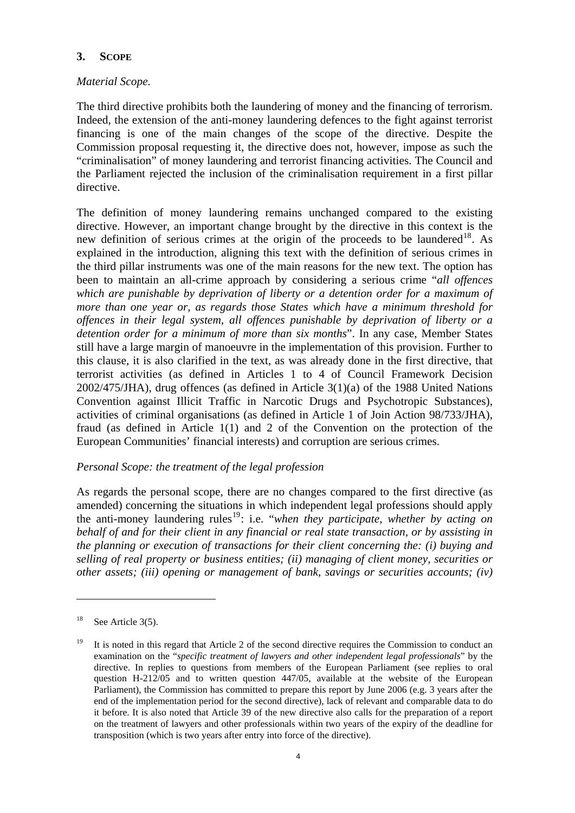## **3. SCOPE**

## *Material Scope.*

The third directive prohibits both the laundering of money and the financing of terrorism. Indeed, the extension of the anti-money laundering defences to the fight against terrorist financing is one of the main changes of the scope of the directive. Despite the Commission proposal requesting it, the directive does not, however, impose as such the "criminalisation" of money laundering and terrorist financing activities. The Council and the Parliament rejected the inclusion of the criminalisation requirement in a first pillar directive.

The definition of money laundering remains unchanged compared to the existing directive. However, an important change brought by the directive in this context is the new definition of serious crimes at the origin of the proceeds to be laundered<sup>[18](#page-3-0)</sup>. As explained in the introduction, aligning this text with the definition of serious crimes in the third pillar instruments was one of the main reasons for the new text. The option has been to maintain an all-crime approach by considering a serious crime "*all offences which are punishable by deprivation of liberty or a detention order for a maximum of more than one year or, as regards those States which have a minimum threshold for offences in their legal system, all offences punishable by deprivation of liberty or a detention order for a minimum of more than six months*". In any case, Member States still have a large margin of manoeuvre in the implementation of this provision. Further to this clause, it is also clarified in the text, as was already done in the first directive, that terrorist activities (as defined in Articles 1 to 4 of Council Framework Decision 2002/475/JHA), drug offences (as defined in Article 3(1)(a) of the 1988 United Nations Convention against Illicit Traffic in Narcotic Drugs and Psychotropic Substances), activities of criminal organisations (as defined in Article 1 of Join Action 98/733/JHA), fraud (as defined in Article 1(1) and 2 of the Convention on the protection of the European Communities' financial interests) and corruption are serious crimes.

#### *Personal Scope: the treatment of the legal profession*

As regards the personal scope, there are no changes compared to the first directive (as amended) concerning the situations in which independent legal professions should apply the anti-money laundering rules<sup>[19](#page-3-1)</sup>: i.e. "*when they participate*, *whether by acting on behalf of and for their client in any financial or real state transaction, or by assisting in the planning or execution of transactions for their client concerning the: (i) buying and selling of real property or business entities; (ii) managing of client money, securities or other assets; (iii) opening or management of bank, savings or securities accounts; (iv)* 

<span id="page-3-0"></span> $18$  See Article 3(5).

<span id="page-3-1"></span><sup>&</sup>lt;sup>19</sup> It is noted in this regard that Article 2 of the second directive requires the Commission to conduct an examination on the "*specific treatment of lawyers and other independent legal professionals*" by the directive. In replies to questions from members of the European Parliament (see replies to oral question H-212/05 and to written question 447/05, available at the website of the European Parliament), the Commission has committed to prepare this report by June 2006 (e.g. 3 years after the end of the implementation period for the second directive), lack of relevant and comparable data to do it before. It is also noted that Article 39 of the new directive also calls for the preparation of a report on the treatment of lawyers and other professionals within two years of the expiry of the deadline for transposition (which is two years after entry into force of the directive).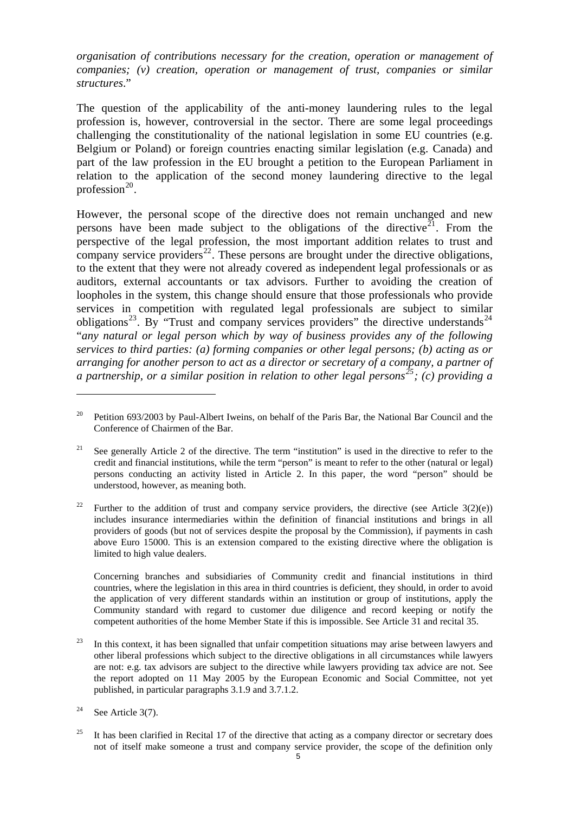*organisation of contributions necessary for the creation, operation or management of companies; (v) creation, operation or management of trust, companies or similar structures*."

The question of the applicability of the anti-money laundering rules to the legal profession is, however, controversial in the sector. There are some legal proceedings challenging the constitutionality of the national legislation in some EU countries (e.g. Belgium or Poland) or foreign countries enacting similar legislation (e.g. Canada) and part of the law profession in the EU brought a petition to the European Parliament in relation to the application of the second money laundering directive to the legal profession $^{20}$  $^{20}$  $^{20}$ .

However, the personal scope of the directive does not remain unchanged and new persons have been made subject to the obligations of the directive<sup>[21](#page-4-1)</sup>. From the perspective of the legal profession, the most important addition relates to trust and company service providers<sup>[22](#page-4-2)</sup>. These persons are brought under the directive obligations, to the extent that they were not already covered as independent legal professionals or as auditors, external accountants or tax advisors. Further to avoiding the creation of loopholes in the system, this change should ensure that those professionals who provide services in competition with regulated legal professionals are subject to similar obligations<sup>[23](#page-4-3)</sup>. By "Trust and company services providers" the directive understands<sup>[24](#page-4-4)</sup> "*any natural or legal person which by way of business provides any of the following services to third parties: (a) forming companies or other legal persons; (b) acting as or arranging for another person to act as a director or secretary of a company, a partner of a partnership, or a similar position in relation to other legal persons[25](#page-4-5); (c) providing a* 

 Concerning branches and subsidiaries of Community credit and financial institutions in third countries, where the legislation in this area in third countries is deficient, they should, in order to avoid the application of very different standards within an institution or group of institutions, apply the Community standard with regard to customer due diligence and record keeping or notify the competent authorities of the home Member State if this is impossible. See Article 31 and recital 35.

<span id="page-4-0"></span><sup>20</sup> Petition 693/2003 by Paul-Albert Iweins, on behalf of the Paris Bar, the National Bar Council and the Conference of Chairmen of the Bar.

<span id="page-4-1"></span><sup>&</sup>lt;sup>21</sup> See generally Article 2 of the directive. The term "institution" is used in the directive to refer to the credit and financial institutions, while the term "person" is meant to refer to the other (natural or legal) persons conducting an activity listed in Article 2. In this paper, the word "person" should be understood, however, as meaning both.

<span id="page-4-2"></span><sup>&</sup>lt;sup>22</sup> Further to the addition of trust and company service providers, the directive (see Article 3(2)(e)) includes insurance intermediaries within the definition of financial institutions and brings in all providers of goods (but not of services despite the proposal by the Commission), if payments in cash above Euro 15000. This is an extension compared to the existing directive where the obligation is limited to high value dealers.

<span id="page-4-3"></span> $23$  In this context, it has been signalled that unfair competition situations may arise between lawyers and other liberal professions which subject to the directive obligations in all circumstances while lawyers are not: e.g. tax advisors are subject to the directive while lawyers providing tax advice are not. See the report adopted on 11 May 2005 by the European Economic and Social Committee, not yet published, in particular paragraphs 3.1.9 and 3.7.1.2.

<span id="page-4-4"></span><sup>&</sup>lt;sup>24</sup> See Article 3(7).

<span id="page-4-5"></span><sup>&</sup>lt;sup>25</sup> It has been clarified in Recital 17 of the directive that acting as a company director or secretary does not of itself make someone a trust and company service provider, the scope of the definition only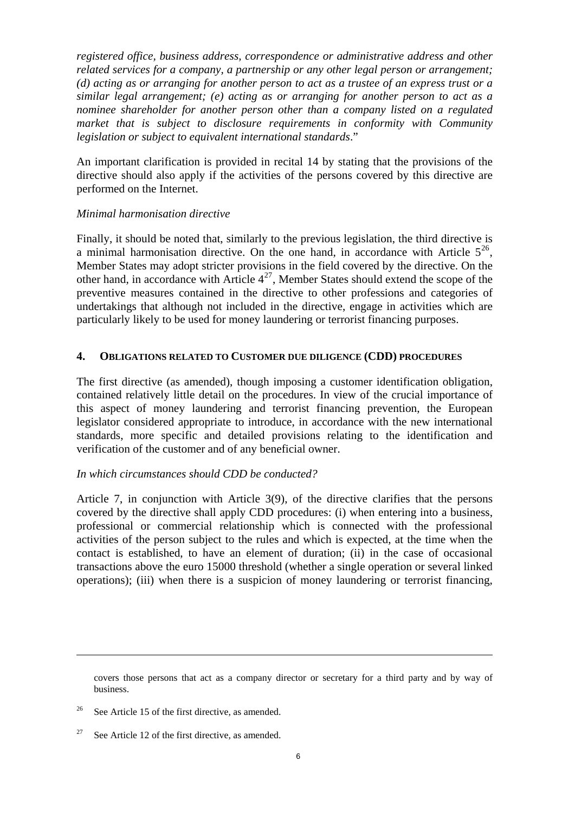*registered office, business address, correspondence or administrative address and other related services for a company, a partnership or any other legal person or arrangement; (d) acting as or arranging for another person to act as a trustee of an express trust or a similar legal arrangement; (e) acting as or arranging for another person to act as a nominee shareholder for another person other than a company listed on a regulated market that is subject to disclosure requirements in conformity with Community legislation or subject to equivalent international standards*."

An important clarification is provided in recital 14 by stating that the provisions of the directive should also apply if the activities of the persons covered by this directive are performed on the Internet.

#### *Minimal harmonisation directive*

Finally, it should be noted that, similarly to the previous legislation, the third directive is a minimal harmonisation directive. On the one hand, in accordance with Article  $5^{26}$  $5^{26}$  $5^{26}$ . Member States may adopt stricter provisions in the field covered by the directive. On the other hand, in accordance with Article  $4^{27}$  $4^{27}$  $4^{27}$ , Member States should extend the scope of the preventive measures contained in the directive to other professions and categories of undertakings that although not included in the directive, engage in activities which are particularly likely to be used for money laundering or terrorist financing purposes.

#### **4. OBLIGATIONS RELATED TO CUSTOMER DUE DILIGENCE (CDD) PROCEDURES**

The first directive (as amended), though imposing a customer identification obligation, contained relatively little detail on the procedures. In view of the crucial importance of this aspect of money laundering and terrorist financing prevention, the European legislator considered appropriate to introduce, in accordance with the new international standards, more specific and detailed provisions relating to the identification and verification of the customer and of any beneficial owner.

#### *In which circumstances should CDD be conducted?*

Article 7, in conjunction with Article 3(9), of the directive clarifies that the persons covered by the directive shall apply CDD procedures: (i) when entering into a business, professional or commercial relationship which is connected with the professional activities of the person subject to the rules and which is expected, at the time when the contact is established, to have an element of duration; (ii) in the case of occasional transactions above the euro 15000 threshold (whether a single operation or several linked operations); (iii) when there is a suspicion of money laundering or terrorist financing,

1

covers those persons that act as a company director or secretary for a third party and by way of business.

<span id="page-5-0"></span><sup>&</sup>lt;sup>26</sup> See Article 15 of the first directive, as amended.

<span id="page-5-1"></span><sup>&</sup>lt;sup>27</sup> See Article 12 of the first directive, as amended.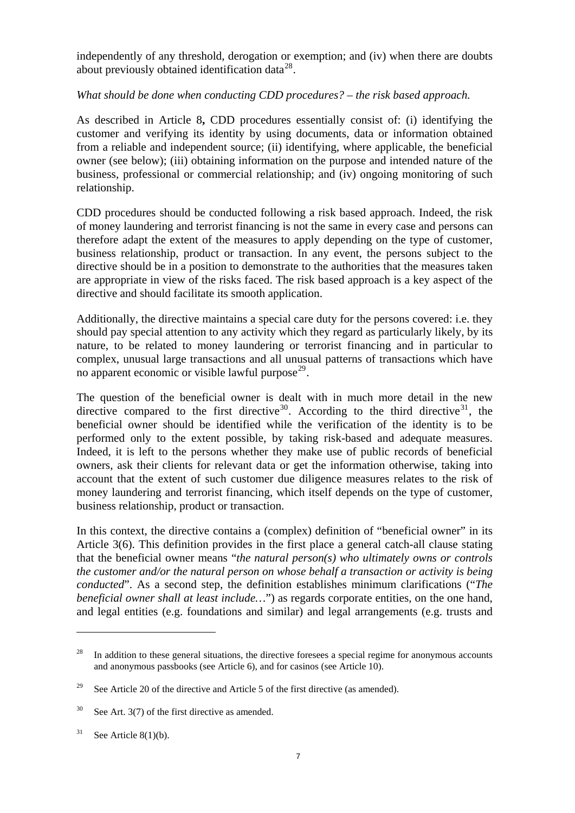independently of any threshold, derogation or exemption; and (iv) when there are doubts about previously obtained identification data<sup>[28](#page-6-0)</sup>.

## *What should be done when conducting CDD procedures? – the risk based approach.*

As described in Article 8**,** CDD procedures essentially consist of: (i) identifying the customer and verifying its identity by using documents, data or information obtained from a reliable and independent source; (ii) identifying, where applicable, the beneficial owner (see below); (iii) obtaining information on the purpose and intended nature of the business, professional or commercial relationship; and (iv) ongoing monitoring of such relationship.

CDD procedures should be conducted following a risk based approach. Indeed, the risk of money laundering and terrorist financing is not the same in every case and persons can therefore adapt the extent of the measures to apply depending on the type of customer, business relationship, product or transaction. In any event, the persons subject to the directive should be in a position to demonstrate to the authorities that the measures taken are appropriate in view of the risks faced. The risk based approach is a key aspect of the directive and should facilitate its smooth application.

Additionally, the directive maintains a special care duty for the persons covered: i.e. they should pay special attention to any activity which they regard as particularly likely, by its nature, to be related to money laundering or terrorist financing and in particular to complex, unusual large transactions and all unusual patterns of transactions which have no apparent economic or visible lawful purpose<sup>[29](#page-6-1)</sup>.

The question of the beneficial owner is dealt with in much more detail in the new directive compared to the first directive<sup>[30](#page-6-2)</sup>. According to the third directive<sup>[31](#page-6-3)</sup>, the beneficial owner should be identified while the verification of the identity is to be performed only to the extent possible, by taking risk-based and adequate measures. Indeed, it is left to the persons whether they make use of public records of beneficial owners, ask their clients for relevant data or get the information otherwise, taking into account that the extent of such customer due diligence measures relates to the risk of money laundering and terrorist financing, which itself depends on the type of customer, business relationship, product or transaction.

In this context, the directive contains a (complex) definition of "beneficial owner" in its Article 3(6). This definition provides in the first place a general catch-all clause stating that the beneficial owner means "*the natural person(s) who ultimately owns or controls the customer and/or the natural person on whose behalf a transaction or activity is being conducted*". As a second step, the definition establishes minimum clarifications ("*The beneficial owner shall at least include...*") as regards corporate entities, on the one hand, and legal entities (e.g. foundations and similar) and legal arrangements (e.g. trusts and

<span id="page-6-0"></span><sup>&</sup>lt;sup>28</sup> In addition to these general situations, the directive foresees a special regime for anonymous accounts and anonymous passbooks (see Article 6), and for casinos (see Article 10).

<span id="page-6-1"></span><sup>&</sup>lt;sup>29</sup> See Article 20 of the directive and Article 5 of the first directive (as amended).

<span id="page-6-2"></span> $30$  See Art. 3(7) of the first directive as amended.

<span id="page-6-3"></span><sup>&</sup>lt;sup>31</sup> See Article 8(1)(b).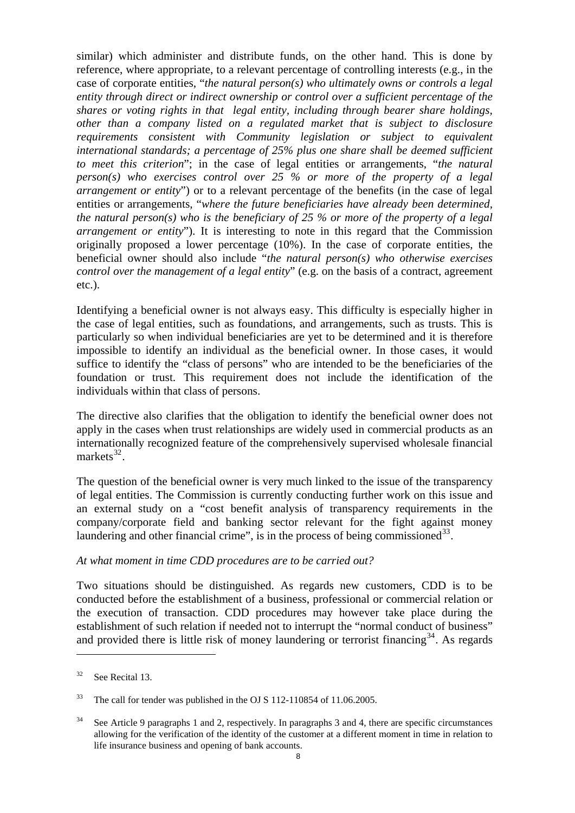similar) which administer and distribute funds, on the other hand. This is done by reference, where appropriate, to a relevant percentage of controlling interests (e.g., in the case of corporate entities, "*the natural person(s) who ultimately owns or controls a legal entity through direct or indirect ownership or control over a sufficient percentage of the shares or voting rights in that legal entity, including through bearer share holdings, other than a company listed on a regulated market that is subject to disclosure requirements consistent with Community legislation or subject to equivalent international standards; a percentage of 25% plus one share shall be deemed sufficient to meet this criterion*"; in the case of legal entities or arrangements, "*the natural person(s) who exercises control over 25 % or more of the property of a legal arrangement or entity*") or to a relevant percentage of the benefits (in the case of legal entities or arrangements, "*where the future beneficiaries have already been determined, the natural person(s) who is the beneficiary of 25 % or more of the property of a legal arrangement or entity*"). It is interesting to note in this regard that the Commission originally proposed a lower percentage (10%). In the case of corporate entities, the beneficial owner should also include "*the natural person(s) who otherwise exercises control over the management of a legal entity*" (e.g. on the basis of a contract, agreement etc.).

Identifying a beneficial owner is not always easy. This difficulty is especially higher in the case of legal entities, such as foundations, and arrangements, such as trusts. This is particularly so when individual beneficiaries are yet to be determined and it is therefore impossible to identify an individual as the beneficial owner. In those cases, it would suffice to identify the "class of persons" who are intended to be the beneficiaries of the foundation or trust. This requirement does not include the identification of the individuals within that class of persons.

The directive also clarifies that the obligation to identify the beneficial owner does not apply in the cases when trust relationships are widely used in commercial products as an internationally recognized feature of the comprehensively supervised wholesale financial markets $^{32}$  $^{32}$  $^{32}$ .

The question of the beneficial owner is very much linked to the issue of the transparency of legal entities. The Commission is currently conducting further work on this issue and an external study on a "cost benefit analysis of transparency requirements in the company/corporate field and banking sector relevant for the fight against money laundering and other financial crime", is in the process of being commissioned  $33$ .

#### *At what moment in time CDD procedures are to be carried out?*

Two situations should be distinguished. As regards new customers, CDD is to be conducted before the establishment of a business, professional or commercial relation or the execution of transaction. CDD procedures may however take place during the establishment of such relation if needed not to interrupt the "normal conduct of business" and provided there is little risk of money laundering or terrorist financing  $34$ . As regards

<span id="page-7-0"></span> $32$  See Recital 13.

<span id="page-7-1"></span><sup>&</sup>lt;sup>33</sup> The call for tender was published in the OJ S 112-110854 of 11.06.2005.

<span id="page-7-2"></span><sup>&</sup>lt;sup>34</sup> See Article 9 paragraphs 1 and 2, respectively. In paragraphs 3 and 4, there are specific circumstances allowing for the verification of the identity of the customer at a different moment in time in relation to life insurance business and opening of bank accounts.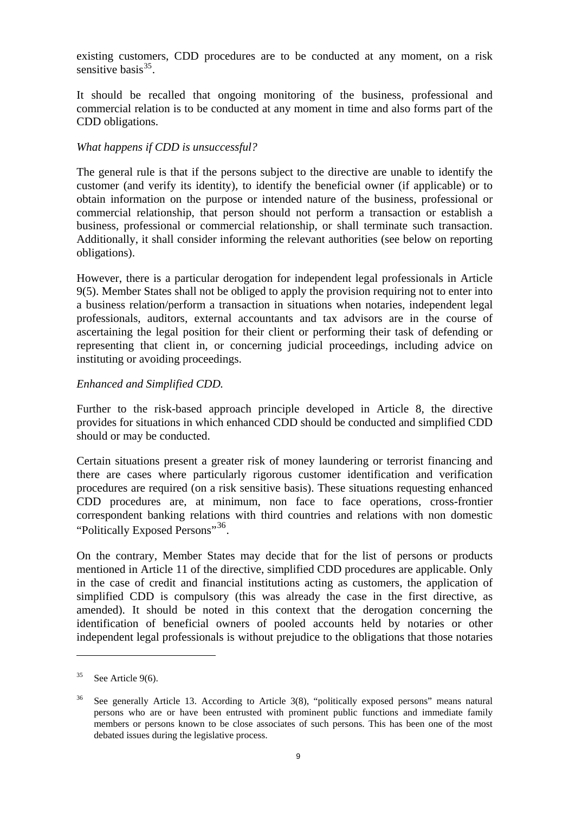existing customers, CDD procedures are to be conducted at any moment, on a risk sensitive basis $35$ .

It should be recalled that ongoing monitoring of the business, professional and commercial relation is to be conducted at any moment in time and also forms part of the CDD obligations.

## *What happens if CDD is unsuccessful?*

The general rule is that if the persons subject to the directive are unable to identify the customer (and verify its identity), to identify the beneficial owner (if applicable) or to obtain information on the purpose or intended nature of the business, professional or commercial relationship, that person should not perform a transaction or establish a business, professional or commercial relationship, or shall terminate such transaction. Additionally, it shall consider informing the relevant authorities (see below on reporting obligations).

However, there is a particular derogation for independent legal professionals in Article 9(5). Member States shall not be obliged to apply the provision requiring not to enter into a business relation/perform a transaction in situations when notaries, independent legal professionals, auditors, external accountants and tax advisors are in the course of ascertaining the legal position for their client or performing their task of defending or representing that client in, or concerning judicial proceedings, including advice on instituting or avoiding proceedings.

## *Enhanced and Simplified CDD.*

Further to the risk-based approach principle developed in Article 8, the directive provides for situations in which enhanced CDD should be conducted and simplified CDD should or may be conducted.

Certain situations present a greater risk of money laundering or terrorist financing and there are cases where particularly rigorous customer identification and verification procedures are required (on a risk sensitive basis). These situations requesting enhanced CDD procedures are, at minimum, non face to face operations, cross-frontier correspondent banking relations with third countries and relations with non domestic "Politically Exposed Persons"<sup>[36](#page-8-1)</sup>.

On the contrary, Member States may decide that for the list of persons or products mentioned in Article 11 of the directive, simplified CDD procedures are applicable. Only in the case of credit and financial institutions acting as customers, the application of simplified CDD is compulsory (this was already the case in the first directive, as amended). It should be noted in this context that the derogation concerning the identification of beneficial owners of pooled accounts held by notaries or other independent legal professionals is without prejudice to the obligations that those notaries

<span id="page-8-0"></span> $35$  See Article 9(6).

<span id="page-8-1"></span><sup>&</sup>lt;sup>36</sup> See generally Article 13. According to Article 3(8), "politically exposed persons" means natural persons who are or have been entrusted with prominent public functions and immediate family members or persons known to be close associates of such persons. This has been one of the most debated issues during the legislative process.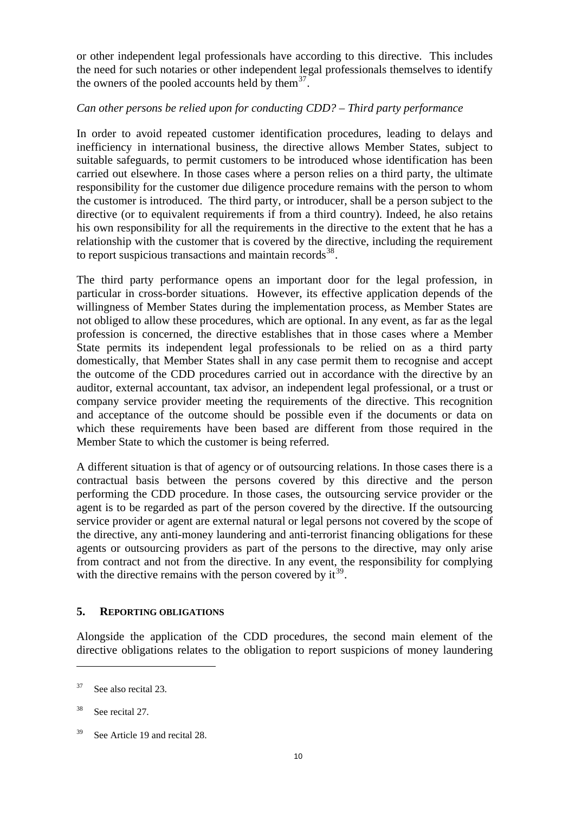or other independent legal professionals have according to this directive. This includes the need for such notaries or other independent legal professionals themselves to identify the owners of the pooled accounts held by them<sup>[37](#page-9-0)</sup>.

## *Can other persons be relied upon for conducting CDD? – Third party performance*

In order to avoid repeated customer identification procedures, leading to delays and inefficiency in international business, the directive allows Member States, subject to suitable safeguards, to permit customers to be introduced whose identification has been carried out elsewhere. In those cases where a person relies on a third party, the ultimate responsibility for the customer due diligence procedure remains with the person to whom the customer is introduced. The third party, or introducer, shall be a person subject to the directive (or to equivalent requirements if from a third country). Indeed, he also retains his own responsibility for all the requirements in the directive to the extent that he has a relationship with the customer that is covered by the directive, including the requirement to report suspicious transactions and maintain records $^{38}$  $^{38}$  $^{38}$ .

The third party performance opens an important door for the legal profession, in particular in cross-border situations. However, its effective application depends of the willingness of Member States during the implementation process, as Member States are not obliged to allow these procedures, which are optional. In any event, as far as the legal profession is concerned, the directive establishes that in those cases where a Member State permits its independent legal professionals to be relied on as a third party domestically, that Member States shall in any case permit them to recognise and accept the outcome of the CDD procedures carried out in accordance with the directive by an auditor, external accountant, tax advisor, an independent legal professional, or a trust or company service provider meeting the requirements of the directive. This recognition and acceptance of the outcome should be possible even if the documents or data on which these requirements have been based are different from those required in the Member State to which the customer is being referred.

A different situation is that of agency or of outsourcing relations. In those cases there is a contractual basis between the persons covered by this directive and the person performing the CDD procedure. In those cases, the outsourcing service provider or the agent is to be regarded as part of the person covered by the directive. If the outsourcing service provider or agent are external natural or legal persons not covered by the scope of the directive, any anti-money laundering and anti-terrorist financing obligations for these agents or outsourcing providers as part of the persons to the directive, may only arise from contract and not from the directive. In any event, the responsibility for complying with the directive remains with the person covered by  $it^{39}$  $it^{39}$  $it^{39}$ .

#### **5. REPORTING OBLIGATIONS**

Alongside the application of the CDD procedures, the second main element of the directive obligations relates to the obligation to report suspicions of money laundering

<span id="page-9-0"></span> $37$  See also recital 23.

<span id="page-9-1"></span><sup>38</sup> See recital 27.

<span id="page-9-2"></span><sup>&</sup>lt;sup>39</sup> See Article 19 and recital 28.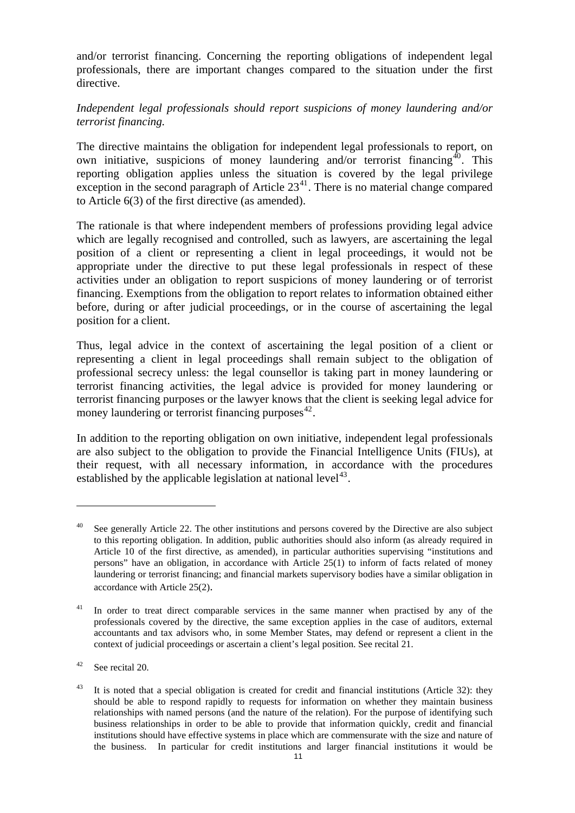and/or terrorist financing. Concerning the reporting obligations of independent legal professionals, there are important changes compared to the situation under the first directive.

## *Independent legal professionals should report suspicions of money laundering and/or terrorist financing.*

The directive maintains the obligation for independent legal professionals to report, on own initiative, suspicions of money laundering and/or terrorist financing<sup> $\hat{40}$  $\hat{40}$  $\hat{40}$ </sup>. This reporting obligation applies unless the situation is covered by the legal privilege exception in the second paragraph of Article  $23<sup>41</sup>$  $23<sup>41</sup>$  $23<sup>41</sup>$ . There is no material change compared to Article 6(3) of the first directive (as amended).

The rationale is that where independent members of professions providing legal advice which are legally recognised and controlled, such as lawyers, are ascertaining the legal position of a client or representing a client in legal proceedings, it would not be appropriate under the directive to put these legal professionals in respect of these activities under an obligation to report suspicions of money laundering or of terrorist financing. Exemptions from the obligation to report relates to information obtained either before, during or after judicial proceedings, or in the course of ascertaining the legal position for a client.

Thus, legal advice in the context of ascertaining the legal position of a client or representing a client in legal proceedings shall remain subject to the obligation of professional secrecy unless: the legal counsellor is taking part in money laundering or terrorist financing activities, the legal advice is provided for money laundering or terrorist financing purposes or the lawyer knows that the client is seeking legal advice for money laundering or terrorist financing purposes $^{42}$  $^{42}$  $^{42}$ .

In addition to the reporting obligation on own initiative, independent legal professionals are also subject to the obligation to provide the Financial Intelligence Units (FIUs), at their request, with all necessary information, in accordance with the procedures established by the applicable legislation at national level<sup>[43](#page-10-3)</sup>.

<span id="page-10-0"></span>See generally Article 22. The other institutions and persons covered by the Directive are also subject to this reporting obligation. In addition, public authorities should also inform (as already required in Article 10 of the first directive, as amended), in particular authorities supervising "institutions and persons" have an obligation, in accordance with Article 25(1) to inform of facts related of money laundering or terrorist financing; and financial markets supervisory bodies have a similar obligation in accordance with Article 25(2).

<span id="page-10-1"></span><sup>&</sup>lt;sup>41</sup> In order to treat direct comparable services in the same manner when practised by any of the professionals covered by the directive, the same exception applies in the case of auditors, external accountants and tax advisors who, in some Member States, may defend or represent a client in the context of judicial proceedings or ascertain a client's legal position. See recital 21.

<span id="page-10-2"></span> $42$  See recital 20.

<span id="page-10-3"></span><sup>&</sup>lt;sup>43</sup> It is noted that a special obligation is created for credit and financial institutions (Article 32): they should be able to respond rapidly to requests for information on whether they maintain business relationships with named persons (and the nature of the relation). For the purpose of identifying such business relationships in order to be able to provide that information quickly, credit and financial institutions should have effective systems in place which are commensurate with the size and nature of the business. In particular for credit institutions and larger financial institutions it would be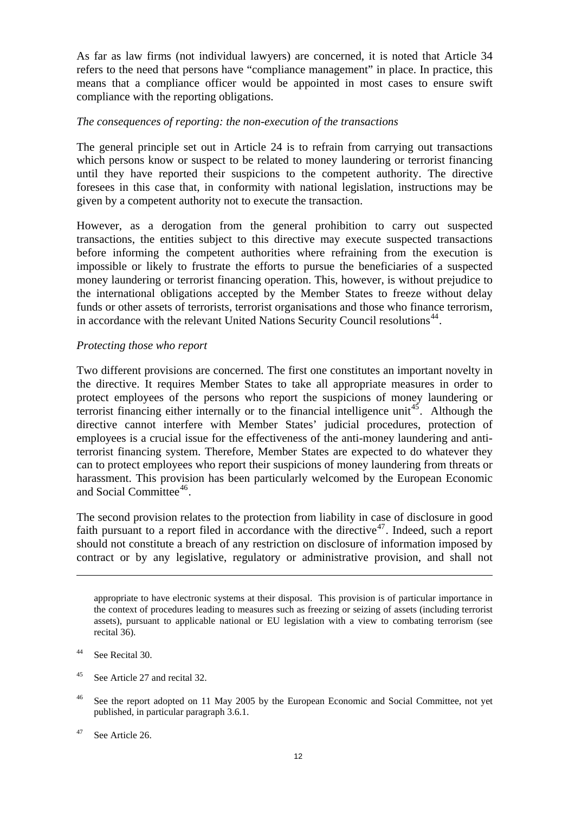As far as law firms (not individual lawyers) are concerned, it is noted that Article 34 refers to the need that persons have "compliance management" in place. In practice, this means that a compliance officer would be appointed in most cases to ensure swift compliance with the reporting obligations.

#### *The consequences of reporting: the non-execution of the transactions*

The general principle set out in Article 24 is to refrain from carrying out transactions which persons know or suspect to be related to money laundering or terrorist financing until they have reported their suspicions to the competent authority. The directive foresees in this case that, in conformity with national legislation, instructions may be given by a competent authority not to execute the transaction.

However, as a derogation from the general prohibition to carry out suspected transactions, the entities subject to this directive may execute suspected transactions before informing the competent authorities where refraining from the execution is impossible or likely to frustrate the efforts to pursue the beneficiaries of a suspected money laundering or terrorist financing operation. This, however, is without prejudice to the international obligations accepted by the Member States to freeze without delay funds or other assets of terrorists, terrorist organisations and those who finance terrorism, in accordance with the relevant United Nations Security Council resolutions<sup>[44](#page-11-0)</sup>.

#### *Protecting those who report*

Two different provisions are concerned. The first one constitutes an important novelty in the directive. It requires Member States to take all appropriate measures in order to protect employees of the persons who report the suspicions of money laundering or terrorist financing either internally or to the financial intelligence unit<sup>[45](#page-11-1)</sup>. Although the directive cannot interfere with Member States' judicial procedures, protection of employees is a crucial issue for the effectiveness of the anti-money laundering and antiterrorist financing system. Therefore, Member States are expected to do whatever they can to protect employees who report their suspicions of money laundering from threats or harassment. This provision has been particularly welcomed by the European Economic and Social Committee<sup>[46](#page-11-2)</sup>.

The second provision relates to the protection from liability in case of disclosure in good faith pursuant to a report filed in accordance with the directive<sup>[47](#page-11-3)</sup>. Indeed, such a report should not constitute a breach of any restriction on disclosure of information imposed by contract or by any legislative, regulatory or administrative provision, and shall not

1

<span id="page-11-1"></span><sup>45</sup> See Article 27 and recital 32.

appropriate to have electronic systems at their disposal. This provision is of particular importance in the context of procedures leading to measures such as freezing or seizing of assets (including terrorist assets), pursuant to applicable national or EU legislation with a view to combating terrorism (see recital 36).

<span id="page-11-0"></span><sup>44</sup> See Recital 30.

<span id="page-11-2"></span><sup>&</sup>lt;sup>46</sup> See the report adopted on 11 May 2005 by the European Economic and Social Committee, not yet published, in particular paragraph 3.6.1.

<span id="page-11-3"></span> $47$  See Article 26.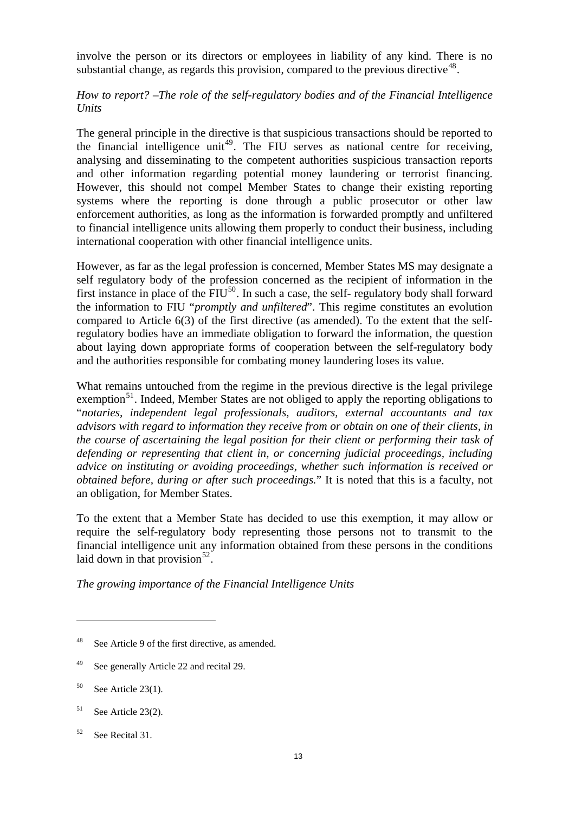involve the person or its directors or employees in liability of any kind. There is no substantial change, as regards this provision, compared to the previous directive<sup>[48](#page-12-0)</sup>.

## *How to report? –The role of the self-regulatory bodies and of the Financial Intelligence Units*

The general principle in the directive is that suspicious transactions should be reported to the financial intelligence unit<sup>[49](#page-12-1)</sup>. The FIU serves as national centre for receiving, analysing and disseminating to the competent authorities suspicious transaction reports and other information regarding potential money laundering or terrorist financing. However, this should not compel Member States to change their existing reporting systems where the reporting is done through a public prosecutor or other law enforcement authorities, as long as the information is forwarded promptly and unfiltered to financial intelligence units allowing them properly to conduct their business, including international cooperation with other financial intelligence units.

However, as far as the legal profession is concerned, Member States MS may designate a self regulatory body of the profession concerned as the recipient of information in the first instance in place of the  $FIU^{50}$  $FIU^{50}$  $FIU^{50}$ . In such a case, the self- regulatory body shall forward the information to FIU "*promptly and unfiltered*". This regime constitutes an evolution compared to Article 6(3) of the first directive (as amended). To the extent that the selfregulatory bodies have an immediate obligation to forward the information, the question about laying down appropriate forms of cooperation between the self-regulatory body and the authorities responsible for combating money laundering loses its value.

What remains untouched from the regime in the previous directive is the legal privilege exemption<sup>[51](#page-12-3)</sup>. Indeed, Member States are not obliged to apply the reporting obligations to "*notaries, independent legal professionals, auditors, external accountants and tax advisors with regard to information they receive from or obtain on one of their clients, in the course of ascertaining the legal position for their client or performing their task of defending or representing that client in, or concerning judicial proceedings, including advice on instituting or avoiding proceedings, whether such information is received or obtained before, during or after such proceedings.*" It is noted that this is a faculty, not an obligation, for Member States.

To the extent that a Member State has decided to use this exemption, it may allow or require the self-regulatory body representing those persons not to transmit to the financial intelligence unit any information obtained from these persons in the conditions laid down in that provision<sup>[52](#page-12-4)</sup>.

*The growing importance of the Financial Intelligence Units* 

<span id="page-12-0"></span><sup>48</sup> See Article 9 of the first directive, as amended.

<span id="page-12-1"></span><sup>&</sup>lt;sup>49</sup> See generally Article 22 and recital 29.

<span id="page-12-2"></span> $50$  See Article 23(1).

<span id="page-12-3"></span> $51$  See Article 23(2).

<span id="page-12-4"></span><sup>52</sup> See Recital 31.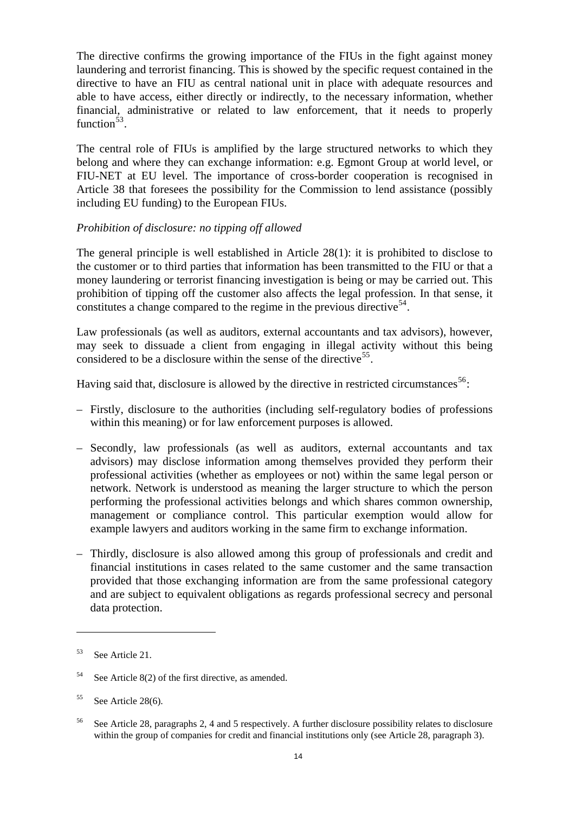The directive confirms the growing importance of the FIUs in the fight against money laundering and terrorist financing. This is showed by the specific request contained in the directive to have an FIU as central national unit in place with adequate resources and able to have access, either directly or indirectly, to the necessary information, whether financial, administrative or related to law enforcement, that it needs to properly function $53$ .

The central role of FIUs is amplified by the large structured networks to which they belong and where they can exchange information: e.g. Egmont Group at world level, or FIU-NET at EU level. The importance of cross-border cooperation is recognised in Article 38 that foresees the possibility for the Commission to lend assistance (possibly including EU funding) to the European FIUs.

## *Prohibition of disclosure: no tipping off allowed*

The general principle is well established in Article 28(1): it is prohibited to disclose to the customer or to third parties that information has been transmitted to the FIU or that a money laundering or terrorist financing investigation is being or may be carried out. This prohibition of tipping off the customer also affects the legal profession. In that sense, it constitutes a change compared to the regime in the previous directive<sup>[54](#page-13-1)</sup>.

Law professionals (as well as auditors, external accountants and tax advisors), however, may seek to dissuade a client from engaging in illegal activity without this being considered to be a disclosure within the sense of the directive<sup>[55](#page-13-2)</sup>.

Having said that, disclosure is allowed by the directive in restricted circumstances<sup>[56](#page-13-3)</sup>:

- Firstly, disclosure to the authorities (including self-regulatory bodies of professions within this meaning) or for law enforcement purposes is allowed.
- Secondly, law professionals (as well as auditors, external accountants and tax advisors) may disclose information among themselves provided they perform their professional activities (whether as employees or not) within the same legal person or network. Network is understood as meaning the larger structure to which the person performing the professional activities belongs and which shares common ownership, management or compliance control. This particular exemption would allow for example lawyers and auditors working in the same firm to exchange information.
- Thirdly, disclosure is also allowed among this group of professionals and credit and financial institutions in cases related to the same customer and the same transaction provided that those exchanging information are from the same professional category and are subject to equivalent obligations as regards professional secrecy and personal data protection.

<span id="page-13-0"></span><sup>53</sup> See Article 21.

<span id="page-13-1"></span><sup>54</sup> See Article 8(2) of the first directive, as amended.

<span id="page-13-2"></span><sup>55</sup> See Article 28(6).

<span id="page-13-3"></span><sup>56</sup> See Article 28, paragraphs 2, 4 and 5 respectively. A further disclosure possibility relates to disclosure within the group of companies for credit and financial institutions only (see Article 28, paragraph 3).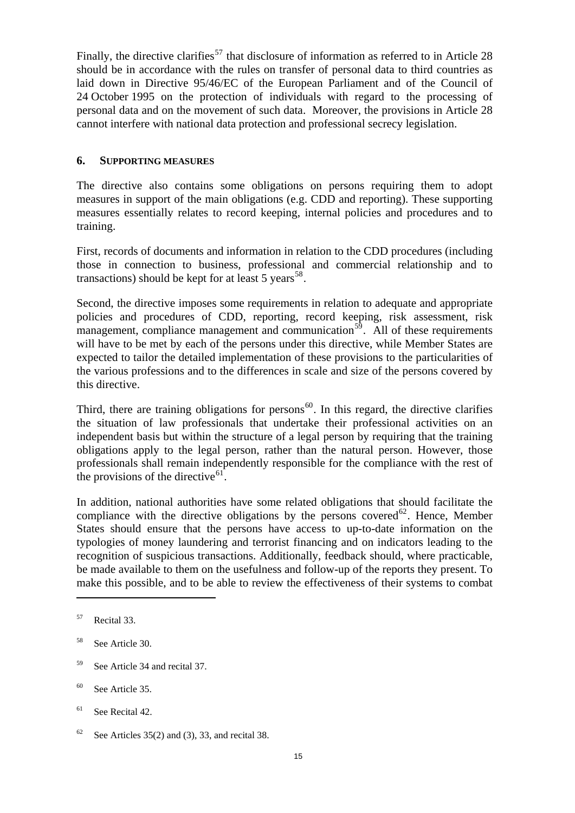Finally, the directive clarifies<sup>[57](#page-14-0)</sup> that disclosure of information as referred to in Article 28 should be in accordance with the rules on transfer of personal data to third countries as laid down in Directive 95/46/EC of the European Parliament and of the Council of 24 October 1995 on the protection of individuals with regard to the processing of personal data and on the movement of such data. Moreover, the provisions in Article 28 cannot interfere with national data protection and professional secrecy legislation.

#### **6. SUPPORTING MEASURES**

The directive also contains some obligations on persons requiring them to adopt measures in support of the main obligations (e.g. CDD and reporting). These supporting measures essentially relates to record keeping, internal policies and procedures and to training.

First, records of documents and information in relation to the CDD procedures (including those in connection to business, professional and commercial relationship and to transactions) should be kept for at least 5 years<sup>[58](#page-14-1)</sup>.

Second, the directive imposes some requirements in relation to adequate and appropriate policies and procedures of CDD, reporting, record keeping, risk assessment, risk management, compliance management and communication<sup>[59](#page-14-2)</sup>. All of these requirements will have to be met by each of the persons under this directive, while Member States are expected to tailor the detailed implementation of these provisions to the particularities of the various professions and to the differences in scale and size of the persons covered by this directive.

Third, there are training obligations for persons<sup>[60](#page-14-3)</sup>. In this regard, the directive clarifies the situation of law professionals that undertake their professional activities on an independent basis but within the structure of a legal person by requiring that the training obligations apply to the legal person, rather than the natural person. However, those professionals shall remain independently responsible for the compliance with the rest of the provisions of the directive<sup>[61](#page-14-4)</sup>.

In addition, national authorities have some related obligations that should facilitate the compliance with the directive obligations by the persons covered<sup>[62](#page-14-5)</sup>. Hence, Member States should ensure that the persons have access to up-to-date information on the typologies of money laundering and terrorist financing and on indicators leading to the recognition of suspicious transactions. Additionally, feedback should, where practicable, be made available to them on the usefulness and follow-up of the reports they present. To make this possible, and to be able to review the effectiveness of their systems to combat

- <span id="page-14-2"></span>59 See Article 34 and recital 37.
- <span id="page-14-3"></span>60 See Article 35.
- <span id="page-14-4"></span> $61$  See Recital 42.

<span id="page-14-0"></span><sup>57</sup> Recital 33.

<span id="page-14-1"></span><sup>58</sup> See Article 30.

<span id="page-14-5"></span> $62$  See Articles 35(2) and (3), 33, and recital 38.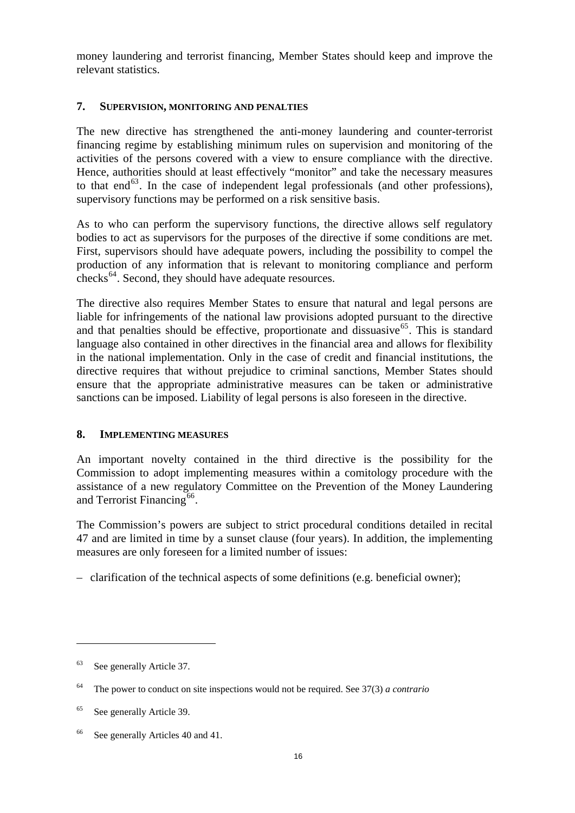money laundering and terrorist financing, Member States should keep and improve the relevant statistics.

## **7. SUPERVISION, MONITORING AND PENALTIES**

The new directive has strengthened the anti-money laundering and counter-terrorist financing regime by establishing minimum rules on supervision and monitoring of the activities of the persons covered with a view to ensure compliance with the directive. Hence, authorities should at least effectively "monitor" and take the necessary measures to that end<sup>[63](#page-15-0)</sup>. In the case of independent legal professionals (and other professions), supervisory functions may be performed on a risk sensitive basis.

As to who can perform the supervisory functions, the directive allows self regulatory bodies to act as supervisors for the purposes of the directive if some conditions are met. First, supervisors should have adequate powers, including the possibility to compel the production of any information that is relevant to monitoring compliance and perform checks<sup>[64](#page-15-1)</sup>. Second, they should have adequate resources.

The directive also requires Member States to ensure that natural and legal persons are liable for infringements of the national law provisions adopted pursuant to the directive and that penalties should be effective, proportionate and dissuasive<sup>[65](#page-15-2)</sup>. This is standard language also contained in other directives in the financial area and allows for flexibility in the national implementation. Only in the case of credit and financial institutions, the directive requires that without prejudice to criminal sanctions, Member States should ensure that the appropriate administrative measures can be taken or administrative sanctions can be imposed. Liability of legal persons is also foreseen in the directive.

## **8. IMPLEMENTING MEASURES**

An important novelty contained in the third directive is the possibility for the Commission to adopt implementing measures within a comitology procedure with the assistance of a new regulatory Committee on the Prevention of the Money Laundering and Terrorist Financing<sup>[66](#page-15-3)</sup>.

The Commission's powers are subject to strict procedural conditions detailed in recital 47 and are limited in time by a sunset clause (four years). In addition, the implementing measures are only foreseen for a limited number of issues:

– clarification of the technical aspects of some definitions (e.g. beneficial owner);

<span id="page-15-0"></span><sup>63</sup> See generally Article 37.

<span id="page-15-1"></span><sup>64</sup> The power to conduct on site inspections would not be required. See 37(3) *a contrario*

<span id="page-15-2"></span><sup>65</sup> See generally Article 39.

<span id="page-15-3"></span><sup>&</sup>lt;sup>66</sup> See generally Articles 40 and 41.